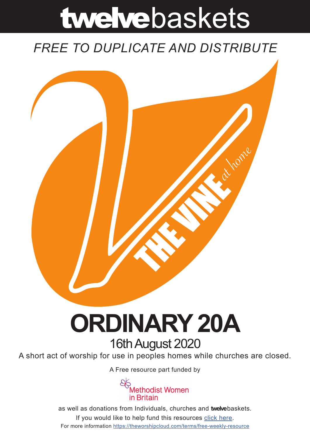# twelvebaskets

### *FREE TO DUPLICATE AND DISTRIBUTE*



## **ORDINARY 20A** 16th August 2020

A short act of worship for use in peoples homes while churches are closed.

A [Free resource part funded](https://mwib.org.uk) by



as well as donations from Individuals, churches and **twelve**baskets. If you would like to help fund this resources [click here]( https://theworshipcloud.com/tags/donation). For more information<https://theworshipcloud.com/terms/free-weekly-resource>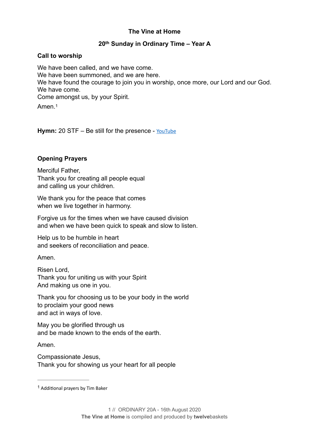#### **The Vine at Home**

#### **20th Sunday in Ordinary Time – Year A**

#### **Call to worship**

We have been called, and we have come. We have been summoned, and we are here. We have found the courage to join you in worship, once more, our Lord and our God. We have come. Come amongst us, by your Spirit. Amen<sub>[1](#page-1-0)</sub>

<span id="page-1-1"></span>Hymn: 20 STF - Be still for the presence - [YouTube](https://www.youtube.com/watch?v=WDP9pfVNpdc)

#### **Opening Prayers**

Merciful Father, Thank you for creating all people equal and calling us your children.

We thank you for the peace that comes when we live together in harmony.

Forgive us for the times when we have caused division and when we have been quick to speak and slow to listen.

Help us to be humble in heart and seekers of reconciliation and peace.

Amen.

Risen Lord, Thank you for uniting us with your Spirit And making us one in you.

Thank you for choosing us to be your body in the world to proclaim your good news and act in ways of love.

May you be glorified through us and be made known to the ends of the earth.

Amen.

Compassionate Jesus, Thank you for showing us your heart for all people

<span id="page-1-0"></span> $1$  Additional prayers by Tim Baker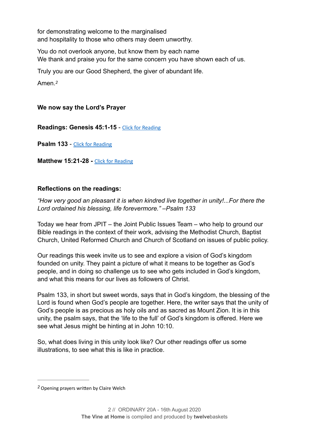for demonstrating welcome to the marginalised and hospitality to those who others may deem unworthy.

You do not overlook anyone, but know them by each name We thank and praise you for the same concern you have shown each of us.

Truly you are our Good Shepherd, the giver of abundant life.

<span id="page-2-1"></span>Amen.*[2](#page-2-0)*

#### **We now say the Lord's Prayer**

**Readings: Genesis 45:1-15** - [Click for Reading](https://www.biblegateway.com/passage/?search=Genesis+45:1-15&version=NRSV)

**Psalm 133** - [Click for Reading](https://www.biblegateway.com/passage/?search=psalm+133&version=NRSV)

**Matthew 15:21-28 - [Click for Reading](https://www.biblegateway.com/passage/?search=Matthew+15:21-28&version=NRSV)** 

#### **Reflections on the readings:**

*"How very good an pleasant it is when kindred live together in unity!...For there the Lord ordained his blessing, life forevermore." –Psalm 133* 

Today we hear from JPIT – the Joint Public Issues Team – who help to ground our Bible readings in the context of their work, advising the Methodist Church, Baptist Church, United Reformed Church and Church of Scotland on issues of public policy.

Our readings this week invite us to see and explore a vision of God's kingdom founded on unity. They paint a picture of what it means to be together as God's people, and in doing so challenge us to see who gets included in God's kingdom, and what this means for our lives as followers of Christ.

Psalm 133, in short but sweet words, says that in God's kingdom, the blessing of the Lord is found when God's people are together. Here, the writer says that the unity of God's people is as precious as holy oils and as sacred as Mount Zion. It is in this unity, the psalm says, that the 'life to the full' of God's kingdom is offered. Here we see what Jesus might be hinting at in John 10:10.

So, what does living in this unity look like? Our other readings offer us some illustrations, to see what this is like in practice.

<span id="page-2-0"></span><sup>&</sup>lt;sup>[2](#page-2-1)</sup> Opening prayers written by Claire Welch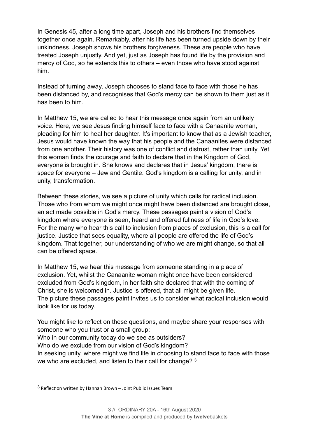In Genesis 45, after a long time apart, Joseph and his brothers find themselves together once again. Remarkably, after his life has been turned upside down by their unkindness, Joseph shows his brothers forgiveness. These are people who have treated Joseph unjustly. And yet, just as Joseph has found life by the provision and mercy of God, so he extends this to others – even those who have stood against him.

Instead of turning away, Joseph chooses to stand face to face with those he has been distanced by, and recognises that God's mercy can be shown to them just as it has been to him.

In Matthew 15, we are called to hear this message once again from an unlikely voice. Here, we see Jesus finding himself face to face with a Canaanite woman, pleading for him to heal her daughter. It's important to know that as a Jewish teacher, Jesus would have known the way that his people and the Canaanites were distanced from one another. Their history was one of conflict and distrust, rather than unity. Yet this woman finds the courage and faith to declare that in the Kingdom of God, everyone is brought in. She knows and declares that in Jesus' kingdom, there is space for everyone – Jew and Gentile. God's kingdom is a calling for unity, and in unity, transformation.

Between these stories, we see a picture of unity which calls for radical inclusion. Those who from whom we might once might have been distanced are brought close, an act made possible in God's mercy. These passages paint a vision of God's kingdom where everyone is seen, heard and offered fullness of life in God's love. For the many who hear this call to inclusion from places of exclusion, this is a call for justice. Justice that sees equality, where all people are offered the life of God's kingdom. That together, our understanding of who we are might change, so that all can be offered space.

In Matthew 15, we hear this message from someone standing in a place of exclusion. Yet, whilst the Canaanite woman might once have been considered excluded from God's kingdom, in her faith she declared that with the coming of Christ, she is welcomed in. Justice is offered, that all might be given life. The picture these passages paint invites us to consider what radical inclusion would look like for us today.

You might like to reflect on these questions, and maybe share your responses with someone who you trust or a small group:

Who in our community today do we see as outsiders?

Who do we exclude from our vision of God's kingdom?

<span id="page-3-1"></span>In seeking unity, where might we find life in choosing to stand face to face with those we who are excluded, and listen to their call for change? [3](#page-3-0)

<span id="page-3-0"></span> $3$  Reflection written by Hannah Brown – Joint Public Issues Team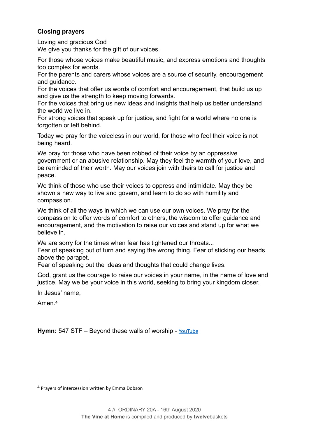#### **Closing prayers**

Loving and gracious God

We give you thanks for the gift of our voices.

For those whose voices make beautiful music, and express emotions and thoughts too complex for words.

For the parents and carers whose voices are a source of security, encouragement and guidance.

For the voices that offer us words of comfort and encouragement, that build us up and give us the strength to keep moving forwards.

For the voices that bring us new ideas and insights that help us better understand the world we live in.

For strong voices that speak up for justice, and fight for a world where no one is forgotten or left behind.

Today we pray for the voiceless in our world, for those who feel their voice is not being heard.

We pray for those who have been robbed of their voice by an oppressive government or an abusive relationship. May they feel the warmth of your love, and be reminded of their worth. May our voices join with theirs to call for justice and peace.

We think of those who use their voices to oppress and intimidate. May they be shown a new way to live and govern, and learn to do so with humility and compassion.

We think of all the ways in which we can use our own voices. We pray for the compassion to offer words of comfort to others, the wisdom to offer guidance and encouragement, and the motivation to raise our voices and stand up for what we believe in.

We are sorry for the times when fear has tightened our throats...

Fear of speaking out of turn and saying the wrong thing. Fear of sticking our heads above the parapet.

Fear of speaking out the ideas and thoughts that could change lives.

God, grant us the courage to raise our voices in your name, in the name of love and justice. May we be your voice in this world, seeking to bring your kingdom closer,

In Jesus' name,

<span id="page-4-1"></span>Amen<sup>[4](#page-4-0)</sup>

Hymn: 547 STF – Beyond these walls of worship - [YouTube](https://www.youtube.com/watch?v=B9QrjtzvS-w)

<span id="page-4-0"></span><sup>&</sup>lt;sup>[4](#page-4-1)</sup> Prayers of intercession written by Emma Dobson